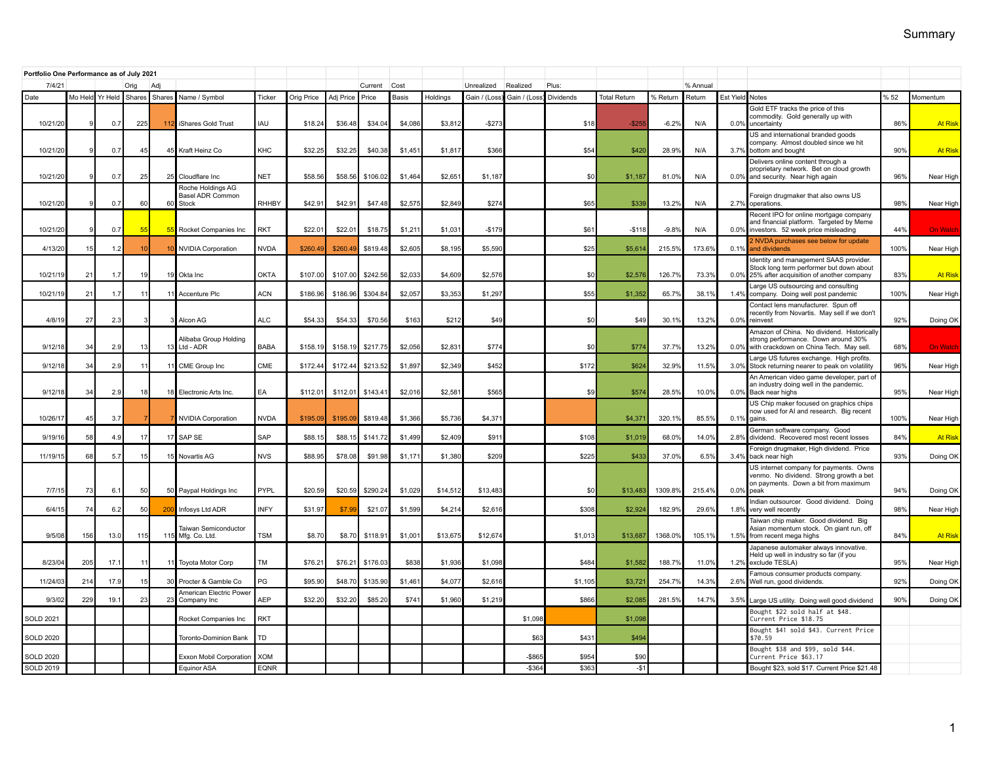| Portfolio One Performance as of July 2021 |             |                 |           |        |                                                   |                    |                    |                    |                     |                   |                    |                    |              |                 |                     |                   |               |              |                                                                                                                                   |             |                              |
|-------------------------------------------|-------------|-----------------|-----------|--------|---------------------------------------------------|--------------------|--------------------|--------------------|---------------------|-------------------|--------------------|--------------------|--------------|-----------------|---------------------|-------------------|---------------|--------------|-----------------------------------------------------------------------------------------------------------------------------------|-------------|------------------------------|
| 7/4/21                                    | Orig<br>Adj |                 |           |        |                                                   |                    |                    | Current            | Cost                |                   | Unrealized         | Realized           | Plus:        |                 |                     | % Annual          |               |              |                                                                                                                                   |             |                              |
| Date                                      |             | Mo Held Yr Held | Shares    | Shares | Name / Symbol                                     | Ticker             | Orig Price         | Adj Price          | Price               | Basis             | Holdings           | Gain / (Loss       | Gain / (Loss | Dividends       | <b>Total Return</b> | % Return          | Return        | Est Yield    | Notes                                                                                                                             | % 52        | Momentum                     |
| 10/21/20                                  |             | 0.7             | 225       | 11     | iShares Gold Trust                                | IAU                | \$18.24            | \$36.48            | \$34.04             | \$4,086           | \$3,812            | $-$27$             |              | \$18            | $-$ \$25            | $-6.2%$           | N/A           | 0.0%         | Gold ETF tracks the price of this<br>commodity. Gold generally up with<br>uncertainty                                             | 86%         | <b>At Risk</b>               |
| 10/21/20                                  |             | 0.7             | 45        |        | 45 Kraft Heinz Co                                 | KHC                | \$32.25            | \$32.25            | \$40.38             | \$1,451           | \$1,817            | \$36               |              | \$54            | \$420               | 28.9%             | N/A           | 3.7%         | US and international branded goods<br>company. Almost doubled since we hit<br>bottom and bought                                   | 90%         | <b>At Risk</b>               |
| 10/21/20                                  |             | 0.7             | 25        |        | 25 Cloudflare Inc                                 | <b>NET</b>         | \$58.56            | \$58.56            | \$106.02            | \$1,464           | \$2,651            | \$1,18             |              | \$0             | \$1,18              | 81.0%             | N/A           | 0.0%         | Delivers online content through a<br>proprietary network. Bet on cloud growth<br>and security. Near high again                    | 96%         | Near High                    |
| 10/21/20                                  |             | 0.7             | 60        |        | Roche Holdings AG<br>Basel ADR Common<br>60 Stock | <b>RHHBY</b>       | \$42.9             | \$42.9             | \$47.48             | \$2,57            | \$2,849            | \$27               |              | \$65            | \$339               | 13.2%             | N/A           |              | Foreign drugmaker that also owns US                                                                                               | 98%         |                              |
|                                           |             |                 |           |        |                                                   |                    |                    |                    |                     |                   |                    |                    |              |                 |                     |                   |               |              | 2.7% operations.<br>Recent IPO for online mortgage company<br>and financial platform. Targeted by Meme                            |             | Near High                    |
| 10/21/20<br>4/13/20                       | 15          | 0.7<br>1.2      | 55        | 55     | Rocket Companies Inc<br><b>NVIDIA Corporation</b> | RKT<br><b>NVDA</b> | \$22.0'<br>\$260.4 | \$22.01<br>\$260.4 | \$18.75<br>\$819.48 | \$1,21<br>\$2,605 | \$1,031<br>\$8,195 | $-$179$<br>\$5,590 |              | \$61<br>\$25    | $-$118$<br>\$5,614  | $-9.8%$<br>215.5% | N/A<br>173.6% | 0.0%<br>0.1% | investors. 52 week price misleading<br>NVDA purchases see below for update<br>and dividends                                       | 44%<br>100% | <b>On Watch</b><br>Near High |
|                                           |             |                 |           |        |                                                   |                    |                    |                    |                     |                   |                    |                    |              |                 |                     |                   |               |              | Identity and management SAAS provider.<br>Stock long term performer but down about                                                |             |                              |
| 10/21/1                                   | 21          | 1.7             | 19        | 19     | Okta Inc                                          | <b>OKTA</b>        | \$107.00           | \$107.00           | \$242.56            | \$2,033           | \$4,609            | \$2,57             |              | \$0             | \$2,57              | 126.7%            | 73.3%         | $0.0\%$      | 25% after acquisition of another company                                                                                          | 83%         | <b>At Risk</b>               |
| 10/21/1                                   | 21          | 1.7             | $\cdot$ 1 | 11     | Accenture Plc                                     | ACN                | \$186.96           | \$186.96           | \$304.84            | \$2,057           | \$3,353            | \$1,297            |              | \$55            | \$1,35              | 65.7%             | 38.1%         | 1.4%         | Large US outsourcing and consulting<br>company. Doing well post pandemic<br>Contact lens manufacturer. Spun off                   | 100%        | Near High                    |
| 4/8/1                                     | 27          | 2.3             |           |        | Alcon AG                                          | ALC                | \$54.33            | \$54.33            | \$70.56             | \$163             | \$212              | \$49               |              | \$0             | \$49                | 30.19             | 13.2%         | 0.0%         | recently from Novartis. May sell if we don't<br>reinvest                                                                          | 92%         | Doing OK                     |
| 9/12/1                                    | 34          | 2.9             | 13        | 13     | Alibaba Group Holding<br>Ltd - ADR                | <b>BABA</b>        | \$158.19           | \$158.1            | \$217.75            | \$2,056           | \$2,83'            | \$77               |              | \$0             | \$774               | 37.7%             | 13.2%         | 0.0%         | Amazon of China. No dividend. Historically<br>strong performance. Down around 30%<br>with crackdown on China Tech. May sell.      | 68%         | <b>On Watch</b>              |
| 9/12/1                                    | 34          | 2.9             | 11        |        | 11 CME Group Inc                                  | CME                | \$172.44           | \$172.4            | \$213.52            | \$1,897           | \$2,349            | \$452              |              | \$172           | \$624               | 32.9%             | 11.5%         | 3.0%         | Large US futures exchange. High profits.<br>Stock returning nearer to peak on volatility                                          | 96%         | Near High                    |
| 9/12/18                                   | 34          | 2.9             | 18        |        | 18 Electronic Arts Inc.                           | EA                 | \$112.01           | \$112.01           | \$143.41            | \$2,016           | \$2.58             | \$56               |              | \$9             | \$574               | 28.5%             | 10.0%         | 0.0%         | An American video game developer, part of<br>an industry doing well in the pandemic.<br>Back near highs                           | 95%         | Near High                    |
| 10/26/1                                   | 45          | 3.7             |           |        | <b>NVIDIA Corporation</b>                         | <b>NVDA</b>        | \$195.0            | \$195.09           | \$819.48            | \$1,366           | \$5,736            | \$4,37             |              |                 | \$4,37              | 320.19            | 85.5%         | 0.1%         | US Chip maker focused on graphics chips<br>now used for AI and research. Big recent<br>gains.                                     | 100%        | Near High                    |
| 9/19/1                                    | 58          | 4.9             | 17        | 17     | SAP SE                                            | SAP                | \$88.1             | \$88.1             | \$141.72            | \$1,499           | \$2,409            | \$91               |              | \$108           | \$1,01              | 68.0%             | 14.0%         | 2.8%         | German software company. Good<br>dividend. Recovered most recent losses                                                           | 84%         | <b>At Risk</b>               |
| 11/19/1                                   | 68          | 5.7             | -15       |        | 15 Novartis AG                                    | <b>NVS</b>         | \$88.95            | \$78.08            | \$91.98             | \$1,17            | \$1,380            | \$20               |              | \$225           | \$433               | 37.0%             | 6.5%          | 3.4%         | Foreign drugmaker, High dividend. Price<br>back near high                                                                         | 93%         | Doing OK                     |
| 7/7/1                                     | 73          | 6.1             | 50        |        | 50 Paypal Holdings Inc                            | PYPL               | \$20.59            | \$20.59            | \$290.24            | \$1,029           | \$14,512           | \$13,48            |              | \$ <sub>0</sub> | \$13,483            | 1309.8%           | 215.49        | 0.0%         | US internet company for payments. Owns<br>venmo. No dividend. Strong growth a bet<br>on payments. Down a bit from maximum<br>peak | 94%         | Doing OK                     |
| 6/4/1                                     | 74          | 6.2             | 50        | 200    | Infosys Ltd ADR                                   | <b>INFY</b>        | \$31.97            | \$7.               | \$21.07             | \$1,599           | \$4,214            | \$2,61             |              | \$308           | \$2,924             | 182.9%            | 29.6%         | 1.8%         | Indian outsourcer. Good dividend. Doing<br>very well recently                                                                     | 98%         | Near High                    |
| 9/5/08                                    | 156         | 13.0            | 115       |        | Taiwan Semiconductor<br>115 Mfg. Co. Ltd.         | <b>TSM</b>         | \$8.70             | \$8.70             | \$118.91            | \$1,00            | \$13,675           | \$12,674           |              | \$1,013         | \$13,687            | 1368.0%           | 105.1%        | 1.5%         | Faiwan chip maker. Good dividend. Big<br>Asian momentum stock. On giant run, off<br>from recent mega highs                        | 84%         | <b>At Risk</b>               |
| 8/23/0                                    | 205         | 17.1            | $\cdot$ 1 |        | 11 Toyota Motor Corp                              | TM                 | \$76.2'            | \$76.21            | \$176.03            | \$83              | \$1,936            | \$1,098            |              | \$484           | \$1,582             | 188.7%            | 11.0%         | 1.2%         | Japanese automaker always innovative.<br>Held up well in industry so far (if you<br>exclude TESLA)                                | 95%         | Near High                    |
| 11/24/0                                   | 214         | 17.9            | 15        |        | 30 Procter & Gamble Co                            | PG                 | \$95.9             | \$48.70            | \$135.90            | \$1,46            | \$4,077            | \$2,61             |              | \$1,105         | \$3,72              | 254.7%            | 14.3%         | 2.6%         | amous consumer products company.<br>Well run, good dividends.                                                                     | 92%         | Doing OK                     |
| 9/3/0                                     | 229         | 19.7            | 23        |        | American Electric Power<br>23 Company Inc         | <b>AEP</b>         | \$32.20            | \$32.20            | \$85.20             | \$74              | \$1,960            | \$1,21             |              | \$866           | \$2,08              | 281.5%            | 14.7%         | 3.5%         | Large US utility. Doing well good dividend                                                                                        | 90%         | Doing OK                     |
| <b>SOLD 2021</b>                          |             |                 |           |        | Rocket Companies Inc.                             | <b>RKT</b>         |                    |                    |                     |                   |                    |                    | \$1,098      |                 | \$1,098             |                   |               |              | Bought \$22 sold half at \$48.<br>Current Price \$18.75                                                                           |             |                              |
| <b>SOLD 2020</b>                          |             |                 |           |        | <b>Toronto-Dominion Bank</b>                      | TD                 |                    |                    |                     |                   |                    |                    | \$63         | \$43            | \$494               |                   |               |              | Bought \$41 sold \$43. Current Price<br>\$70.59                                                                                   |             |                              |
| <b>SOLD 2020</b>                          |             |                 |           |        | Exxon Mobil Corporation                           | <b>XOM</b>         |                    |                    |                     |                   |                    |                    | $-$ \$86!    | \$954           | \$90                |                   |               |              | Bought \$38 and \$99, sold \$44.<br>Current Price \$63.17                                                                         |             |                              |
| SOLD 2019                                 |             |                 |           |        | Equinor ASA                                       | <b>EQNR</b>        |                    |                    |                     |                   |                    |                    | $-$ \$364    | \$363           | $-$1$               |                   |               |              | Bought \$23, sold \$17. Current Price \$21.48                                                                                     |             |                              |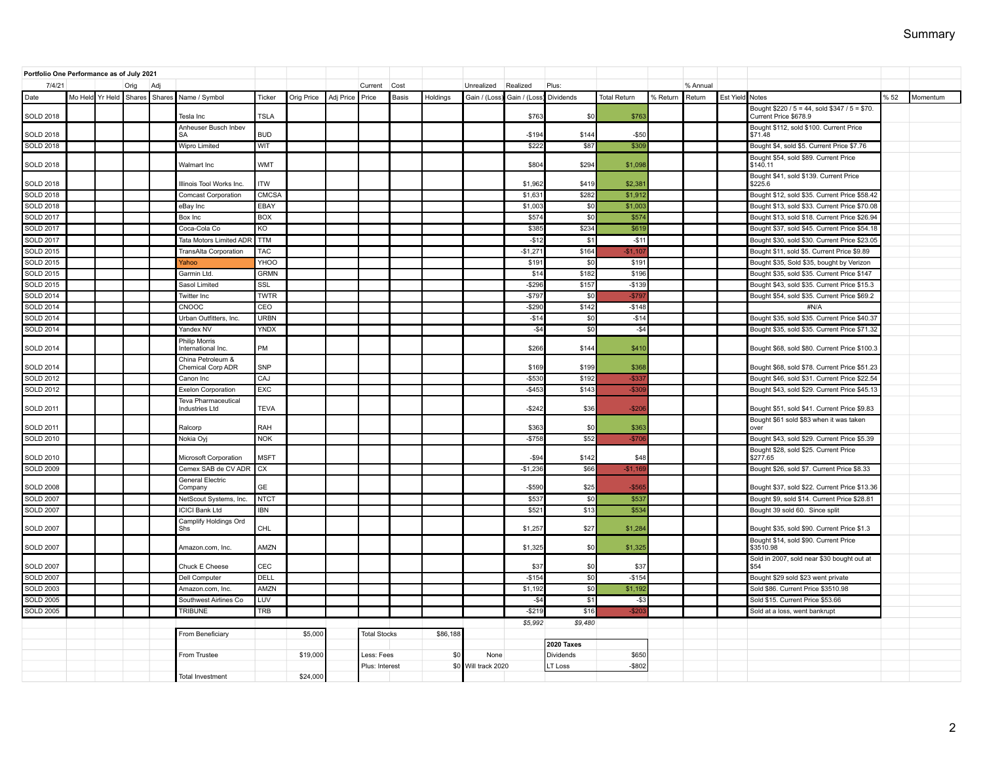| Portfolio One Performance as of July 2021 |  |                 |               |                         |                                               |              |            |           |                     |       |          |                 |              |                   |                     |          |          |                 |                                                                        |     |          |
|-------------------------------------------|--|-----------------|---------------|-------------------------|-----------------------------------------------|--------------|------------|-----------|---------------------|-------|----------|-----------------|--------------|-------------------|---------------------|----------|----------|-----------------|------------------------------------------------------------------------|-----|----------|
| 7/4/21                                    |  |                 | Orig          | Adi                     |                                               |              |            |           | Current             | Cost  |          | Unrealized      | Realized     | Plus:             |                     |          | % Annual |                 |                                                                        |     |          |
| Date                                      |  | Mo Held Yr Held | Shares Shares |                         | Name / Symbol                                 | Ticker       | Orig Price | Adj Price | Price               | Basis | Holdings | Gain / (Loss)   | Gain / (Loss | Dividends         | <b>Total Return</b> | % Return | Return   | Est Yield Notes |                                                                        | %52 | Momentum |
| <b>SOLD 2018</b>                          |  |                 |               |                         | Tesla Inc                                     | <b>TSLA</b>  |            |           |                     |       |          |                 | \$763        | \$0               | \$76                |          |          |                 | Bought \$220 / 5 = 44, sold \$347 / 5 = \$70.<br>Current Price \$678.9 |     |          |
| <b>SOLD 2018</b>                          |  |                 |               |                         | Anheuser Busch Inbev<br>SΑ                    | <b>BUD</b>   |            |           |                     |       |          |                 | $-$194$      | \$144             | $-$50$              |          |          |                 | Bought \$112, sold \$100. Current Price<br>\$71.48                     |     |          |
| <b>SOLD 2018</b>                          |  |                 |               |                         | <b>Wipro Limited</b>                          | WIT          |            |           |                     |       |          |                 | \$222        | \$87              | \$30                |          |          |                 | Bought \$4, sold \$5. Current Price \$7.76                             |     |          |
| <b>SOLD 2018</b>                          |  |                 |               |                         | Walmart Inc                                   | <b>WMT</b>   |            |           |                     |       |          |                 | \$804        | \$294             | \$1,098             |          |          |                 | Bought \$54, sold \$89. Current Price<br>\$140.11                      |     |          |
| <b>SOLD 2018</b>                          |  |                 |               |                         | Illinois Tool Works Inc.                      | <b>ITW</b>   |            |           |                     |       |          |                 | \$1,962      | \$419             | \$2,38'             |          |          |                 | Bought \$41, sold \$139. Current Price<br>\$225.6                      |     |          |
| <b>SOLD 2018</b>                          |  |                 |               |                         | <b>Comcast Corporation</b>                    | <b>CMCSA</b> |            |           |                     |       |          |                 | \$1,63       | \$282             | \$1,91              |          |          |                 | Bought \$12, sold \$35. Current Price \$58.42                          |     |          |
| <b>SOLD 2018</b>                          |  |                 |               |                         | eBay Inc                                      | EBAY         |            |           |                     |       |          |                 | \$1,003      | \$0               | \$1,00              |          |          |                 | Bought \$13, sold \$33. Current Price \$70.08                          |     |          |
| <b>SOLD 2017</b>                          |  |                 |               |                         | Box Inc                                       | <b>BOX</b>   |            |           |                     |       |          |                 | \$574        | \$0               | \$574               |          |          |                 | Bought \$13, sold \$18. Current Price \$26.94                          |     |          |
| <b>SOLD 2017</b>                          |  |                 |               |                         | Coca-Cola Co                                  | KO           |            |           |                     |       |          |                 | \$385        | \$234             | \$619               |          |          |                 | Bought \$37, sold \$45. Current Price \$54.18                          |     |          |
| <b>SOLD 2017</b>                          |  |                 |               |                         | Tata Motors Limited ADF                       | <b>TTM</b>   |            |           |                     |       |          |                 | $-$12$       | \$1               | $-$11$              |          |          |                 | Bought \$30, sold \$30. Current Price \$23.05                          |     |          |
| <b>SOLD 2015</b>                          |  |                 |               |                         | TransAlta Corporation                         | <b>TAC</b>   |            |           |                     |       |          |                 | $-$1,27'$    | \$164             | $-$11$              |          |          |                 | Bought \$11, sold \$5. Current Price \$9.89                            |     |          |
| <b>SOLD 2015</b>                          |  |                 |               |                         | Yahoo                                         | YHOO         |            |           |                     |       |          |                 | \$19'        | \$0               | \$19'               |          |          |                 | Bought \$35, Sold \$35, bought by Verizon                              |     |          |
| <b>SOLD 2015</b>                          |  |                 |               |                         | Garmin Ltd.                                   | <b>GRMN</b>  |            |           |                     |       |          |                 | \$14         | \$182             | \$196               |          |          |                 | Bought \$35, sold \$35. Current Price \$147                            |     |          |
| <b>SOLD 2015</b>                          |  |                 |               |                         | Sasol Limited                                 | SSL          |            |           |                     |       |          |                 | $-$ \$296    | \$157             | $-$13$              |          |          |                 | Bought \$43, sold \$35. Current Price \$15.3                           |     |          |
| <b>SOLD 2014</b>                          |  |                 |               |                         | <b>Twitter Inc</b>                            | <b>TWTR</b>  |            |           |                     |       |          |                 | $-$79$       | \$0               | $-$79$              |          |          |                 | Bought \$54, sold \$35. Current Price \$69.2                           |     |          |
| <b>SOLD 2014</b>                          |  |                 |               |                         | CNOOC                                         | CEO          |            |           |                     |       |          |                 | $-$290$      | \$142             | $-$148$             |          |          |                 | #N/A                                                                   |     |          |
| <b>SOLD 2014</b>                          |  |                 |               |                         | Urban Outfitters, Inc.                        | <b>URBN</b>  |            |           |                     |       |          |                 | $-$14$       | \$0               | $-$14$              |          |          |                 | Bought \$35, sold \$35. Current Price \$40.37                          |     |          |
| <b>SOLD 2014</b>                          |  |                 |               |                         | Yandex NV                                     | <b>YNDX</b>  |            |           |                     |       |          |                 | $-$ \$4      | \$0               | $-$ \$4             |          |          |                 | Bought \$35, sold \$35. Current Price \$71.32                          |     |          |
| <b>SOLD 2014</b>                          |  |                 |               |                         | Philip Morris<br>International Inc.           | PM           |            |           |                     |       |          |                 | \$266        | \$144             | \$410               |          |          |                 | Bought \$68, sold \$80. Current Price \$100.3                          |     |          |
| <b>SOLD 2014</b>                          |  |                 |               |                         | China Petroleum &<br><b>Chemical Corp ADR</b> | <b>SNP</b>   |            |           |                     |       |          |                 | \$169        | \$199             | \$368               |          |          |                 | Bought \$68, sold \$78. Current Price \$51.23                          |     |          |
| <b>SOLD 2012</b>                          |  |                 |               |                         | Canon Inc                                     | CAJ          |            |           |                     |       |          |                 | $-$530$      | \$192             | $-$ \$33            |          |          |                 | Bought \$46, sold \$31. Current Price \$22.54                          |     |          |
| <b>SOLD 2012</b>                          |  |                 |               |                         | <b>Exelon Corporation</b>                     | <b>EXC</b>   |            |           |                     |       |          |                 | $-$453$      | \$143             | $-$30$              |          |          |                 | Bought \$43, sold \$29. Current Price \$45.13                          |     |          |
|                                           |  |                 |               |                         | Teva Pharmaceutical                           |              |            |           |                     |       |          |                 |              |                   |                     |          |          |                 |                                                                        |     |          |
| <b>SOLD 2011</b>                          |  |                 |               |                         | Industries Ltd                                | <b>TEVA</b>  |            |           |                     |       |          |                 | $-$242$      | \$36              | $-$ \$20            |          |          |                 | Bought \$51, sold \$41. Current Price \$9.83                           |     |          |
| <b>SOLD 2011</b>                          |  |                 |               |                         | Ralcorp                                       | <b>RAH</b>   |            |           |                     |       |          |                 | \$363        | \$0               | \$363               |          |          |                 | Bought \$61 sold \$83 when it was taken<br>over                        |     |          |
| <b>SOLD 2010</b>                          |  |                 |               |                         | Nokia Oyj                                     | <b>NOK</b>   |            |           |                     |       |          |                 | $-$758$      | \$52              | $-$70$              |          |          |                 | Bought \$43, sold \$29. Current Price \$5.39                           |     |          |
| <b>SOLD 2010</b>                          |  |                 |               |                         | Microsoft Corporation                         | <b>MSFT</b>  |            |           |                     |       |          |                 | $-$ \$94     | \$142             | \$48                |          |          |                 | Bought \$28, sold \$25. Current Price<br>\$277.65                      |     |          |
| <b>SOLD 2009</b>                          |  |                 |               |                         | Cemex SAB de CV ADR                           | <b>CX</b>    |            |           |                     |       |          |                 | $-$1,236$    | \$66              | $-$1,16$            |          |          |                 | Bought \$26, sold \$7. Current Price \$8.33                            |     |          |
|                                           |  |                 |               |                         | General Electric                              |              |            |           |                     |       |          |                 |              |                   |                     |          |          |                 |                                                                        |     |          |
| <b>SOLD 2008</b>                          |  |                 |               |                         | Company                                       | GF           |            |           |                     |       |          |                 | $-$590$      | \$25              | $-$56$              |          |          |                 | Bought \$37, sold \$22. Current Price \$13.36                          |     |          |
| <b>SOLD 2007</b>                          |  |                 |               |                         | NetScout Systems, Inc.                        | <b>NTCT</b>  |            |           |                     |       |          |                 | \$537        | \$0               | \$53                |          |          |                 | Bought \$9, sold \$14. Current Price \$28.81                           |     |          |
| <b>SOLD 2007</b>                          |  |                 |               |                         | <b>ICICI Bank Ltd</b>                         | <b>IBN</b>   |            |           |                     |       |          |                 | \$52         | \$13              | \$534               |          |          |                 | Bought 39 sold 60. Since split                                         |     |          |
| <b>SOLD 2007</b>                          |  |                 |               |                         | Camplify Holdings Ord<br>Shs                  | CHL          |            |           |                     |       |          |                 | \$1,257      | \$27              | \$1,284             |          |          |                 | Bought \$35, sold \$90. Current Price \$1.3                            |     |          |
| <b>SOLD 2007</b>                          |  |                 |               |                         | Amazon.com, Inc.                              | AMZN         |            |           |                     |       |          |                 | \$1,325      | \$0               | \$1,325             |          |          |                 | Bought \$14, sold \$90. Current Price<br>\$3510.98                     |     |          |
| <b>SOLD 2007</b>                          |  |                 |               |                         | Chuck E Cheese                                | CEC          |            |           |                     |       |          |                 | \$37         | \$0               | \$37                |          |          |                 | Sold in 2007, sold near \$30 bought out at<br>\$54                     |     |          |
| <b>SOLD 2007</b>                          |  |                 |               |                         | Dell Computer                                 | DELL         |            |           |                     |       |          |                 | $-$154$      | \$0               | $-$154$             |          |          |                 | Bought \$29 sold \$23 went private                                     |     |          |
| <b>SOLD 2003</b>                          |  |                 |               |                         | Amazon.com, Inc                               | AMZN         |            |           |                     |       |          |                 | \$1,192      | \$0               | \$1,192             |          |          |                 | Sold \$86. Current Price \$3510.98                                     |     |          |
| <b>SOLD 2005</b>                          |  |                 |               |                         | Southwest Airlines Co                         | LUV          |            |           |                     |       |          |                 | $-$ \$4      | \$1               | $-$ \$3             |          |          |                 | Sold \$15. Current Price \$53.66                                       |     |          |
| <b>SOLD 2005</b>                          |  |                 |               |                         | <b>TRIBUNE</b>                                | <b>TRB</b>   |            |           |                     |       |          |                 | $-$219$      | \$16              | $-$ \$20            |          |          |                 | Sold at a loss, went bankrupt                                          |     |          |
|                                           |  |                 |               |                         |                                               |              |            |           |                     |       |          |                 | \$5,992      | \$9,480           |                     |          |          |                 |                                                                        |     |          |
|                                           |  |                 |               |                         | From Beneficiary                              |              | \$5,000    |           | <b>Total Stocks</b> |       | \$86,188 |                 |              |                   |                     |          |          |                 |                                                                        |     |          |
|                                           |  |                 |               |                         |                                               |              |            |           |                     |       |          |                 |              | <b>2020 Taxes</b> |                     |          |          |                 |                                                                        |     |          |
|                                           |  |                 |               |                         | From Trustee                                  |              | \$19,000   |           | Less: Fees          |       | \$0      | None            |              | Dividends         | \$650               |          |          |                 |                                                                        |     |          |
|                                           |  |                 |               |                         |                                               |              |            |           | Plus: Interest      |       | \$0      | Will track 2020 |              | LT Loss           | $-$802$             |          |          |                 |                                                                        |     |          |
|                                           |  |                 |               | <b>Total Investment</b> | \$24,000                                      |              |            |           |                     |       |          |                 |              |                   |                     |          |          |                 |                                                                        |     |          |